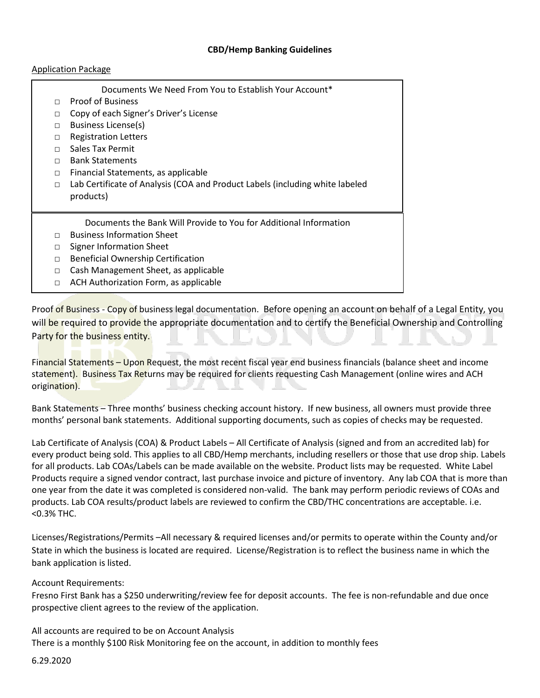## **CBD/Hemp Banking Guidelines**

## Application Package

|        | Documents We Need From You to Establish Your Account*                        |
|--------|------------------------------------------------------------------------------|
| $\Box$ | <b>Proof of Business</b>                                                     |
| $\Box$ | Copy of each Signer's Driver's License                                       |
| $\Box$ | Business License(s)                                                          |
| $\Box$ | <b>Registration Letters</b>                                                  |
| П      | Sales Tax Permit                                                             |
| П      | <b>Bank Statements</b>                                                       |
| $\Box$ | Financial Statements, as applicable                                          |
| $\Box$ | Lab Certificate of Analysis (COA and Product Labels (including white labeled |
|        | products)                                                                    |
|        |                                                                              |
|        | Documents the Bank Will Provide to You for Additional Information            |
| $\Box$ | <b>Business Information Sheet</b>                                            |
| $\Box$ | Signer Information Sheet                                                     |
| $\Box$ | <b>Beneficial Ownership Certification</b>                                    |
| $\Box$ | Cash Management Sheet, as applicable                                         |
| $\Box$ | ACH Authorization Form, as applicable                                        |
|        |                                                                              |

Proof of Business - Copy of business legal documentation. Before opening an account on behalf of a Legal Entity, you will be required to provide the appropriate documentation and to certify the Beneficial Ownership and Controlling Party for the business entity.

Financial Statements – Upon Request, the most recent fiscal year end business financials (balance sheet and income statement). Business Tax Returns may be required for clients requesting Cash Management (online wires and ACH origination).

Bank Statements – Three months' business checking account history. If new business, all owners must provide three months' personal bank statements. Additional supporting documents, such as copies of checks may be requested.

Lab Certificate of Analysis (COA) & Product Labels – All Certificate of Analysis (signed and from an accredited lab) for every product being sold. This applies to all CBD/Hemp merchants, including resellers or those that use drop ship. Labels for all products. Lab COAs/Labels can be made available on the website. Product lists may be requested. White Label Products require a signed vendor contract, last purchase invoice and picture of inventory. Any lab COA that is more than one year from the date it was completed is considered non-valid. The bank may perform periodic reviews of COAs and products. Lab COA results/product labels are reviewed to confirm the CBD/THC concentrations are acceptable. i.e. <0.3% THC.

Licenses/Registrations/Permits –All necessary & required licenses and/or permits to operate within the County and/or State in which the business is located are required. License/Registration is to reflect the business name in which the bank application is listed.

Account Requirements:

Fresno First Bank has a \$250 underwriting/review fee for deposit accounts. The fee is non-refundable and due once prospective client agrees to the review of the application.

All accounts are required to be on Account Analysis There is a monthly \$100 Risk Monitoring fee on the account, in addition to monthly fees

6.29.2020